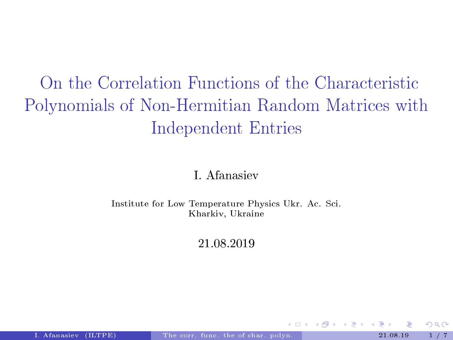# <span id="page-0-0"></span>On the Correlation Functions of the Characteristic Polynomials of Non-Hermitian Random Matrices with Independent Entries

#### I. Afanasiev

Institute for Low Temperature Physics Ukr. Ac. Sci. Kharkiv, Ukraine

21.08.2019

 $\Omega$ 

メロメ メ御 メメ ミメ メミメ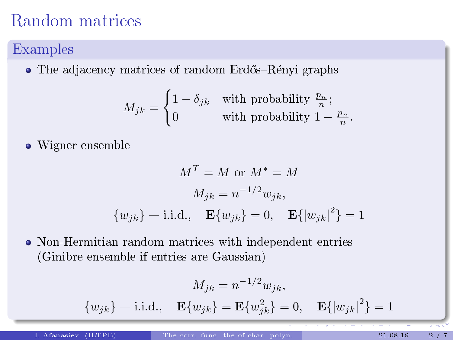## Random matrices

### Examples

 $\bullet$  The adjacency matrices of random Erdős–Rényi graphs

$$
M_{jk} = \begin{cases} 1 - \delta_{jk} & \text{with probability } \frac{p_n}{n}; \\ 0 & \text{with probability } 1 - \frac{p_n}{n}. \end{cases}
$$

• Wigner ensemble

$$
M^{T} = M \text{ or } M^{*} = M
$$

$$
M_{jk} = n^{-1/2} w_{jk},
$$

$$
\{w_{jk}\} - i.i.d., \quad \mathbf{E}\{w_{jk}\} = 0, \quad \mathbf{E}\{|w_{jk}|^{2}\} = 1
$$

Non-Hermitian random matrices with independent entries (Ginibre ensemble if entries are Gaussian)

$$
M_{jk} = n^{-1/2} w_{jk},
$$
  

$$
\{w_{jk}\} - i.i.d., \quad \mathbf{E}\{w_{jk}\} = \mathbf{E}\{w_{jk}^2\} = 0, \quad \mathbf{E}\{|w_{jk}|^2\} = 1
$$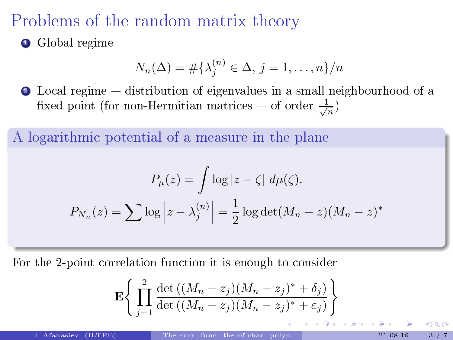### Problems of the random matrix theory

**•** Global regime

$$
N_n(\Delta) = \#\{\lambda_j^{(n)} \in \Delta, j = 1, \dots, n\}/n
$$

**2** Local regime – distribution of eigenvalues in a small neighbourhood of a fixed point (for non-Hermitian matrices – of order  $\frac{1}{\sqrt{n}}$ )

A logarithmic potential of a measure in the plane

$$
P_{\mu}(z) = \int \log |z - \zeta| d\mu(\zeta).
$$

$$
P_{N_n}(z) = \sum \log |z - \lambda_j^{(n)}| = \frac{1}{2} \log \det(M_n - z)(M_n - z)^*
$$

For the 2-point correlation function it is enough to consider

$$
\mathbf{E}\Biggl\{\prod_{j=1}^2\frac{\det\bigl((M_n-z_j)(M_n-z_j)^*+\delta_j\bigr)}{\det\bigl((M_n-z_j)(M_n-z_j)^*+\varepsilon_j\bigr)}\Biggr\}
$$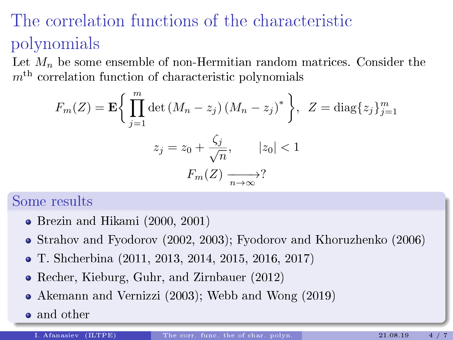# The correlation functions of the characteristic polynomials

Let  $M_n$  be some ensemble of non-Hermitian random matrices. Consider the  $m<sup>th</sup>$  correlation function of characteristic polynomials

$$
F_m(Z) = \mathbf{E} \bigg\{ \prod_{j=1}^m \det \left( M_n - z_j \right) \left( M_n - z_j \right)^* \bigg\}, \ Z = \text{diag}\{z_j\}_{j=1}^m
$$

$$
z_j = z_0 + \frac{\zeta_j}{\sqrt{n}}, \qquad |z_0| < 1
$$

$$
F_m(Z) \xrightarrow[n \to \infty]{}
$$

#### Some results

- Brezin and Hikami (2000, 2001)
- Strahov and Fyodorov (2002, 2003); Fyodorov and Khoruzhenko (2006)
- T. Shcherbina (2011, 2013, 2014, 2015, 2016, 2017)
- Recher, Kieburg, Guhr, and Zirnbauer (2012)
- Akemann and Vernizzi (2003); Webb and Wong (2019)
- and other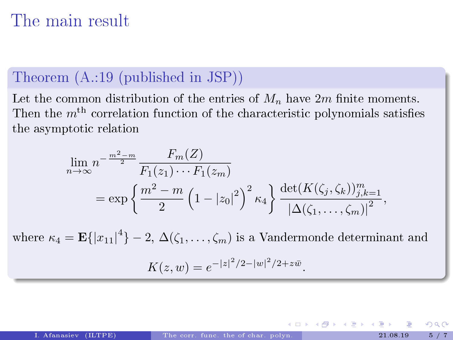## The main result

#### Theorem (A.:19 (published in JSP))

Let the common distribution of the entries of  $M_n$  have  $2m$  finite moments. Then the  $m<sup>th</sup>$  correlation function of the characteristic polynomials satisfies the asymptotic relation

$$
\lim_{n \to \infty} n^{-\frac{m^2 - m}{2}} \frac{F_m(Z)}{F_1(z_1) \cdots F_1(z_m)} = \exp \left\{ \frac{m^2 - m}{2} \left( 1 - |z_0|^2 \right)^2 \kappa_4 \right\} \frac{\det(K(\zeta_j, \zeta_k))_{j,k=1}^m}{\left| \Delta(\zeta_1, \ldots, \zeta_m) \right|^2},
$$

where  $\kappa_4 = \mathbf{E} \{ |x_{11}|^4 \} - 2, \Delta(\zeta_1, \ldots, \zeta_m)$  is a Vandermonde determinant and

$$
K(z, w) = e^{-|z|^2/2 - |w|^2/2 + z\bar{w}}.
$$

メロメ メタメ メミメ メミメ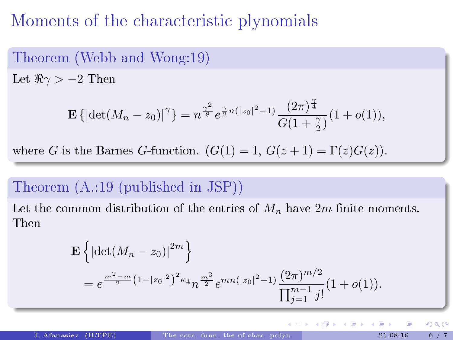### Moments of the characteristic plynomials

### Theorem (Webb and Wong:19)

Let  $\Re \gamma > -2$  Then

$$
\mathbf{E}\left\{|\det(M_n - z_0)|^{\gamma}\right\} = n^{\frac{\gamma^2}{8}} e^{\frac{\gamma}{2}n(|z_0|^2 - 1)} \frac{(2\pi)^{\frac{\gamma}{4}}}{G(1 + \frac{\gamma}{2})} (1 + o(1)),
$$

where G is the Barnes G-function.  $(G(1) = 1, G(z+1) = \Gamma(z)G(z)).$ 

#### Theorem (A.:19 (published in JSP))

Let the common distribution of the entries of  $M_n$  have  $2m$  finite moments. Then

$$
\mathbf{E}\left\{|\det(M_n - z_0)|^{2m}\right\}
$$
  
=  $e^{\frac{m^2 - m}{2}\left(1 - |z_0|^2\right)^2 \kappa_4} n^{\frac{m^2}{2}} e^{mn(|z_0|^2 - 1)} \frac{(2\pi)^{m/2}}{\prod_{j=1}^{m-1} j!} (1 + o(1)).$ 

つへへ

メロメ メタメ メミメ メミ